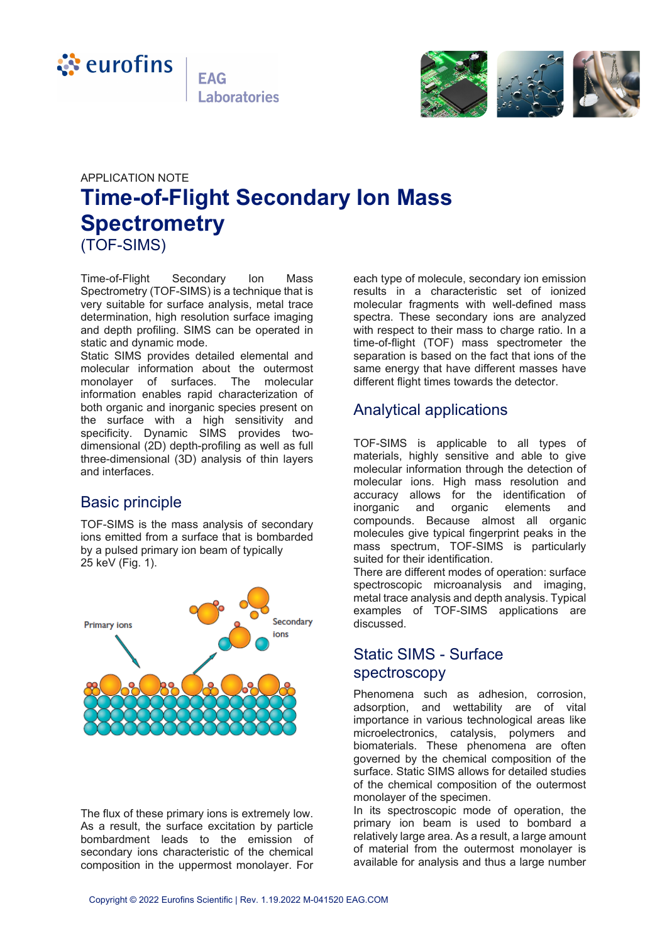



# APPLICATION NOTE **Time-of-Flight Secondary Ion Mass Spectrometry** (TOF-SIMS)

Time-of-Flight Secondary Ion Mass Spectrometry (TOF-SIMS) is a technique that is very suitable for surface analysis, metal trace determination, high resolution surface imaging and depth profiling. SIMS can be operated in static and dynamic mode.

Static SIMS provides detailed elemental and molecular information about the outermost monolayer of surfaces. The molecular information enables rapid characterization of both organic and inorganic species present on the surface with a high sensitivity and specificity. Dynamic SIMS provides twodimensional (2D) depth-profiling as well as full three-dimensional (3D) analysis of thin layers and interfaces.

## Basic principle

TOF-SIMS is the mass analysis of secondary ions emitted from a surface that is bombarded by a pulsed primary ion beam of typically 25 keV (Fig. 1).



The flux of these primary ions is extremely low. As a result, the surface excitation by particle bombardment leads to the emission of secondary ions characteristic of the chemical composition in the uppermost monolayer. For

each type of molecule, secondary ion emission results in a characteristic set of ionized molecular fragments with well-defined mass spectra. These secondary ions are analyzed with respect to their mass to charge ratio. In a time-of-flight (TOF) mass spectrometer the separation is based on the fact that ions of the same energy that have different masses have different flight times towards the detector.

## Analytical applications

TOF-SIMS is applicable to all types of materials, highly sensitive and able to give molecular information through the detection of molecular ions. High mass resolution and accuracy allows for the identification of<br>inorganic and organic elements and inorganic and organic elements and compounds. Because almost all organic molecules give typical fingerprint peaks in the mass spectrum, TOF-SIMS is particularly suited for their identification.

There are different modes of operation: surface spectroscopic microanalysis and imaging, metal trace analysis and depth analysis. Typical examples of TOF-SIMS applications are discussed.

## Static SIMS - Surface spectroscopy

Phenomena such as adhesion, corrosion, adsorption, and wettability are of vital importance in various technological areas like microelectronics, catalysis, polymers and biomaterials. These phenomena are often governed by the chemical composition of the surface. Static SIMS allows for detailed studies of the chemical composition of the outermost monolayer of the specimen.

In its spectroscopic mode of operation, the primary ion beam is used to bombard a relatively large area. As a result, a large amount of material from the outermost monolayer is available for analysis and thus a large number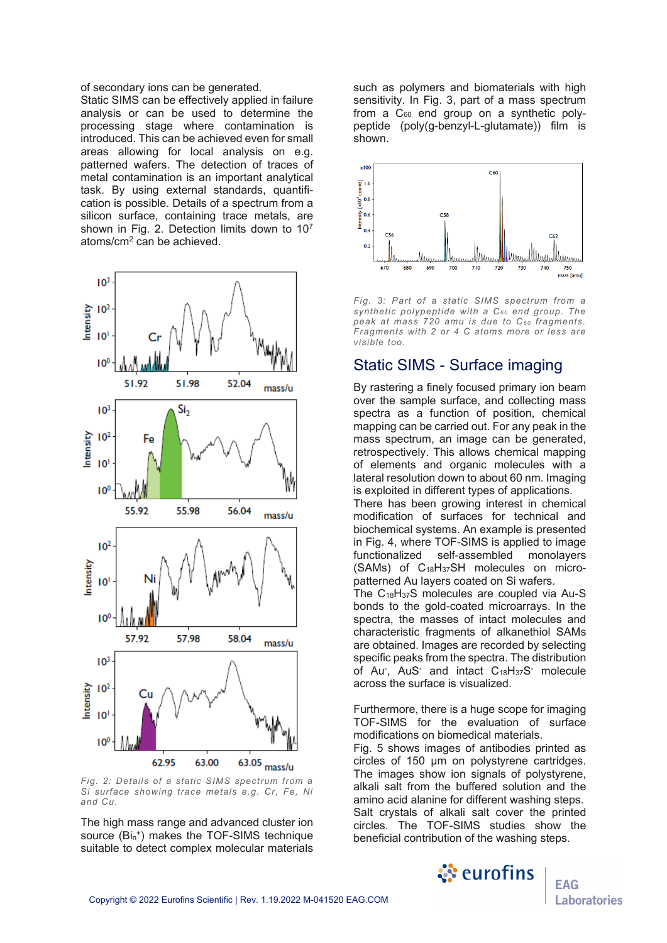of secondary ions can be generated.

Static SIMS can be effectively applied in failure analysis or can be used to determine the processing stage where contamination is introduced. This can be achieved even for small areas allowing for local analysis on e.g. patterned wafers. The detection of traces of metal contamination is an important analytical task. By using external standards, quantification is possible. Details of a spectrum from a silicon surface, containing trace metals, are shown in Fig. 2. Detection limits down to  $10<sup>7</sup>$ atoms/cm2 can be achieved.



*Fig. 2: Details of a static SIMS spectrum from a Si surface showing trace metals e.g. Cr, Fe, Ni and Cu.*

The high mass range and advanced cluster ion source (Bin<sup>+</sup>) makes the TOF-SIMS technique suitable to detect complex molecular materials

such as polymers and biomaterials with high sensitivity. In Fig. 3, part of a mass spectrum from a  $C_{60}$  end group on a synthetic polypeptide (poly(g-benzyl-L-glutamate)) film is shown.



*Fig. 3: Part of a static SIMS spectrum from a synthetic polypeptide with a C6 0 end group. The peak at mass 720 amu is due to C6 0 fragments. Fragments with 2 or 4 C atoms more or less are visible too.*

#### Static SIMS - Surface imaging

By rastering a finely focused primary ion beam over the sample surface, and collecting mass spectra as a function of position, chemical mapping can be carried out. For any peak in the mass spectrum, an image can be generated, retrospectively. This allows chemical mapping of elements and organic molecules with a lateral resolution down to about 60 nm. Imaging is exploited in different types of applications.

There has been growing interest in chemical modification of surfaces for technical and biochemical systems. An example is presented in Fig. 4, where TOF-SIMS is applied to image functionalized self-assembled monolayers (SAMs) of C18H37SH molecules on micropatterned Au layers coated on Si wafers.

The C18H37S molecules are coupled via Au-S bonds to the gold-coated microarrays. In the spectra, the masses of intact molecules and characteristic fragments of alkanethiol SAMs are obtained. Images are recorded by selecting specific peaks from the spectra. The distribution of Au<sup>-</sup>, AuS<sup>-</sup> and intact C<sub>18</sub>H<sub>37</sub>S<sup>-</sup> molecule across the surface is visualized.

Furthermore, there is a huge scope for imaging TOF-SIMS for the evaluation of surface modifications on biomedical materials.

Fig. 5 shows images of antibodies printed as circles of 150 µm on polystyrene cartridges. The images show ion signals of polystyrene, alkali salt from the buffered solution and the amino acid alanine for different washing steps. Salt crystals of alkali salt cover the printed circles. The TOF-SIMS studies show the beneficial contribution of the washing steps.



**EAG Laboratories**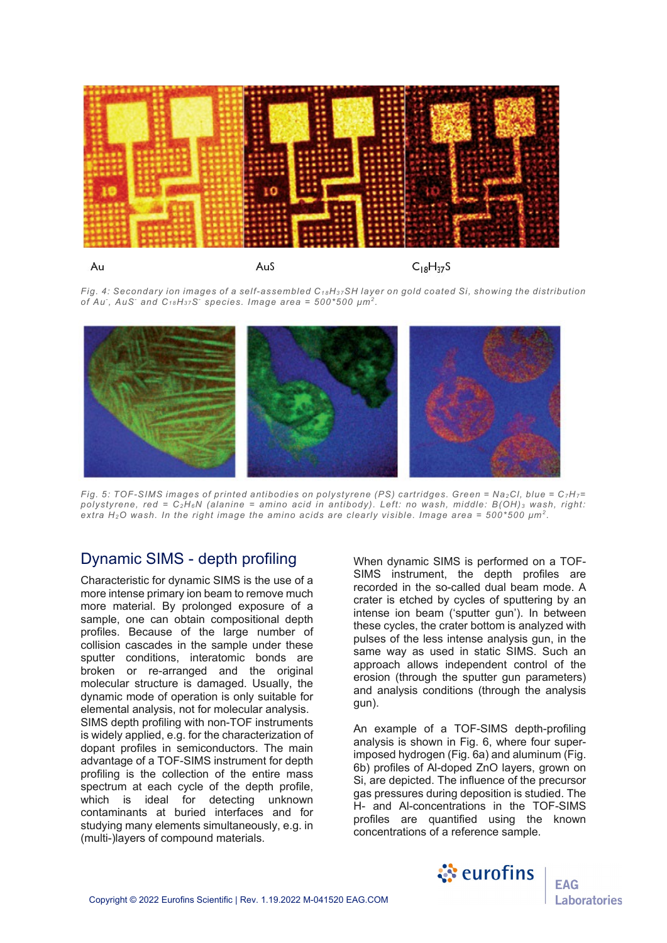

*Fig. 4: Secondary ion images of a self-assembled C1 8H3 7SH layer on gold coated Si, showing the distribution of Au- , AuS- and C1 8H3 7S- species. Image area = 500\*500 µm2 .*



*Fig. 5: TOF-SIMS images of printed antibodies on polystyrene (PS) cartridges. Green = Na2Cl, blue = C7H7= polystyrene, red = C2H6N (alanine = amino acid in antibody). Left: no wash, middle: B(OH) <sup>3</sup> wash, right: extra H2O wash. In the right image the amino acids are clearly visible. Image area = 500\*500 µm2 .*

#### Dynamic SIMS - depth profiling

Characteristic for dynamic SIMS is the use of a more intense primary ion beam to remove much more material. By prolonged exposure of a sample, one can obtain compositional depth profiles. Because of the large number of collision cascades in the sample under these sputter conditions, interatomic bonds are broken or re-arranged and the original molecular structure is damaged. Usually, the dynamic mode of operation is only suitable for elemental analysis, not for molecular analysis. SIMS depth profiling with non-TOF instruments is widely applied, e.g. for the characterization of dopant profiles in semiconductors. The main advantage of a TOF-SIMS instrument for depth profiling is the collection of the entire mass spectrum at each cycle of the depth profile, which is ideal for detecting unknown contaminants at buried interfaces and for studying many elements simultaneously, e.g. in (multi-)layers of compound materials.

When dynamic SIMS is performed on a TOF-SIMS instrument, the depth profiles are recorded in the so-called dual beam mode. A crater is etched by cycles of sputtering by an intense ion beam ('sputter gun'). In between these cycles, the crater bottom is analyzed with pulses of the less intense analysis gun, in the same way as used in static SIMS. Such an approach allows independent control of the erosion (through the sputter gun parameters) and analysis conditions (through the analysis gun).

An example of a TOF-SIMS depth-profiling analysis is shown in Fig. 6, where four superimposed hydrogen (Fig. 6a) and aluminum (Fig. 6b) profiles of Al-doped ZnO layers, grown on Si, are depicted. The influence of the precursor gas pressures during deposition is studied. The H- and Al-concentrations in the TOF-SIMS profiles are quantified using the known concentrations of a reference sample.

े eurofins

**EAG** 

Laboratories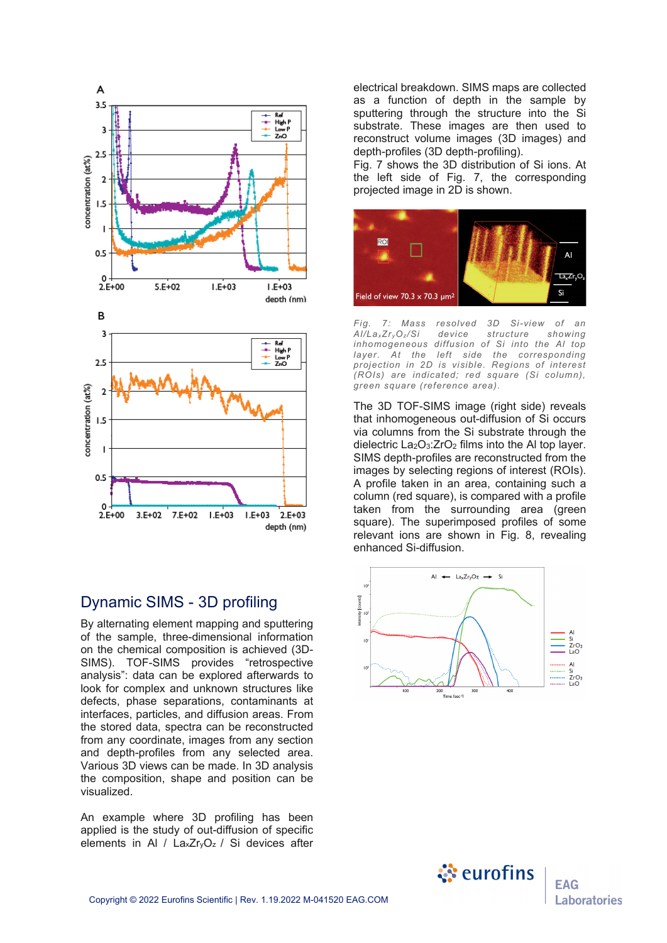

#### Dynamic SIMS - 3D profiling

By alternating element mapping and sputtering of the sample, three-dimensional information on the chemical composition is achieved (3D-SIMS). TOF-SIMS provides "retrospective analysis": data can be explored afterwards to look for complex and unknown structures like defects, phase separations, contaminants at interfaces, particles, and diffusion areas. From the stored data, spectra can be reconstructed from any coordinate, images from any section and depth-profiles from any selected area. Various 3D views can be made. In 3D analysis the composition, shape and position can be visualized.

An example where 3D profiling has been applied is the study of out-diffusion of specific elements in Al /  $\text{L}$ axZr<sub>y</sub>O<sub>z</sub> / Si devices after

electrical breakdown. SIMS maps are collected as a function of depth in the sample by sputtering through the structure into the Si substrate. These images are then used to reconstruct volume images (3D images) and depth-profiles (3D depth-profiling).

Fig. 7 shows the 3D distribution of Si ions. At the left side of Fig. 7, the corresponding projected image in 2D is shown.



*Fig. 7: Mass resolved 3D Si-view of an Al/LaxZr yOz /Si device structure showing inhomogeneous diffusion of Si into the Al top layer. At the left side the corresponding projection in 2D is visible. Regions of interest (ROIs) are indicated; red square (Si column), green square (reference area).*

The 3D TOF-SIMS image (right side) reveals that inhomogeneous out-diffusion of Si occurs via columns from the Si substrate through the dielectric  $La<sub>2</sub>O<sub>3</sub>:ZrO<sub>2</sub>$  films into the Al top layer. SIMS depth-profiles are reconstructed from the images by selecting regions of interest (ROIs). A profile taken in an area, containing such a column (red square), is compared with a profile taken from the surrounding area (green square). The superimposed profiles of some relevant ions are shown in Fig. 8, revealing enhanced Si-diffusion.